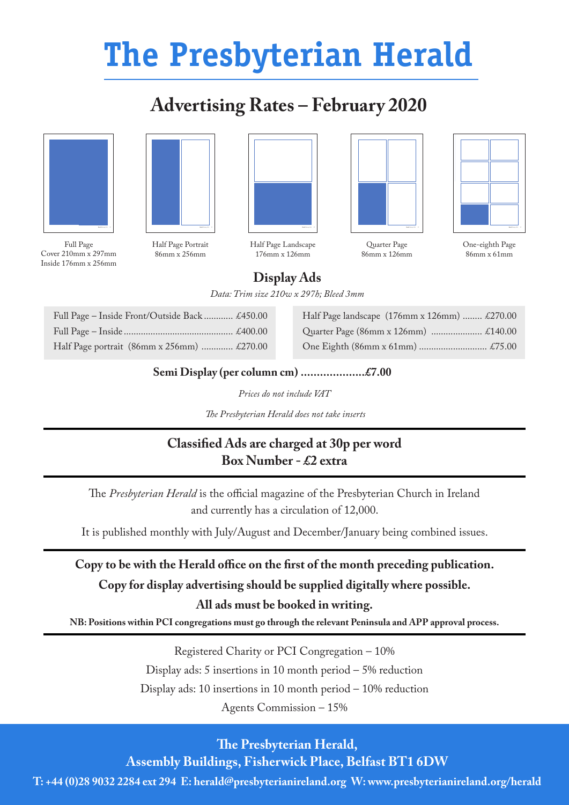## **The Presbyterian Herald**

## **Advertising Rates – February 2020**





Full Page Cover 210mm x 297mm Inside 176mm x 256mm

Half Page Portrait 86mm x 256mm



Half Page Landscape 176mm x 126mm



Quarter Page 86mm x 126mm



One-eighth Page 86mm x 61mm

**Display Ads**

*Data: Trim size 210w x 297h; Bleed 3mm*

| Full Page - Inside Front/Outside Back  £450.00 |  |
|------------------------------------------------|--|
|                                                |  |
| Half Page portrait (86mm x 256mm)  £270.00     |  |

Half Page landscape (176mm x 126mm) ........ £270.00 Quarter Page (86mm x 126mm) ........................ £140.00 One Eighth (86mm x 61mm) ............................ £75.00

## **Semi Display (per column cm) ....................£7.00**

*Prices do not include VAT*

 *The Presbyterian Herald does not take inserts*

## **Classified Ads are charged at 30p per word Box Number - £2 extra**

The *Presbyterian Herald* is the official magazine of the Presbyterian Church in Ireland and currently has a circulation of 12,000.

It is published monthly with July/August and December/January being combined issues.

**Copy to be with the Herald office on the first of the month preceding publication. Copy for display advertising should be supplied digitally where possible.**

**All ads must be booked in writing.**

**NB: Positions within PCI congregations must go through the relevant Peninsula and APP approval process.**

Registered Charity or PCI Congregation – 10% Display ads: 5 insertions in 10 month period – 5% reduction Display ads: 10 insertions in 10 month period – 10% reduction Agents Commission – 15%

**The Presbyterian Herald,** 

**Assembly Buildings, Fisherwick Place, Belfast BT1 6DW**

**T: +44 (0)28 9032 2284 ext 294 E: herald@presbyterianireland.org W: www.presbyterianireland.org/herald**